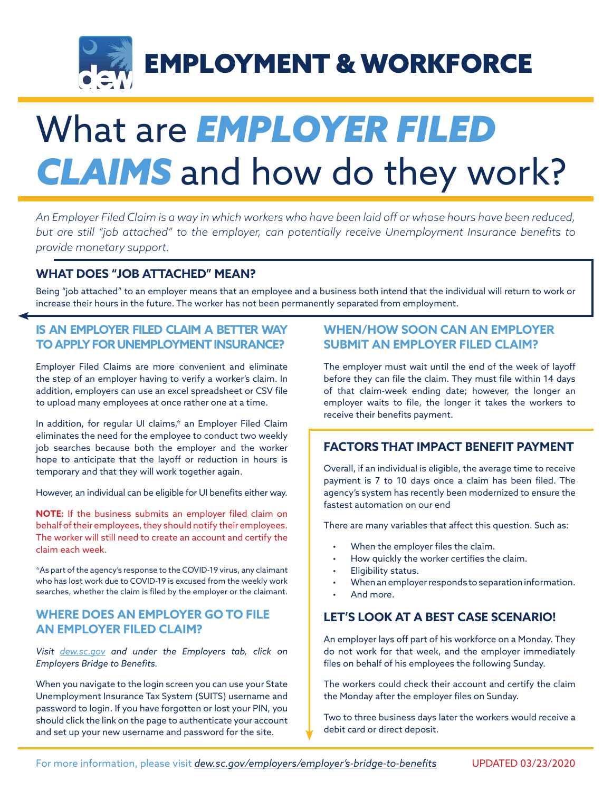

# What are *EMPLOYER FILED*  **CLAIMS** and how do they work?

*An Employer Filed Claim is a way in which workers who have been laid off or whose hours have been reduced, but are still "job attached" to the employer, can potentially receive Unemployment Insurance benefits to provide monetary support.*

#### **WHAT DOES "JOB ATTACHED" MEAN?**

Being "job attached" to an employer means that an employee and a business both intend that the individual will return to work or increase their hours in the future. The worker has not been permanently separated from employment.

#### **IS AN EMPLOYER FILED CLAIM A BETTER WAY TO APPLY FOR UNEMPLOYMENT INSURANCE?**

Employer Filed Claims are more convenient and eliminate the step of an employer having to verify a worker's claim. In addition, employers can use an excel spreadsheet or CSV file to upload many employees at once rather one at a time.

In addition, for regular UI claims,\* an Employer Filed Claim eliminates the need for the employee to conduct two weekly job searches because both the employer and the worker hope to anticipate that the layoff or reduction in hours is temporary and that they will work together again.

However, an individual can be eligible for UI benefits either way.

**NOTE:** If the business submits an employer filed claim on behalf of their employees, they should notify their employees. The worker will still need to create an account and certify the claim each week.

\*As part of the agency's response to the COVID-19 virus, any claimant who has lost work due to COVID-19 is excused from the weekly work searches, whether the claim is filed by the employer or the claimant.

#### **WHERE DOES AN EMPLOYER GO TO FILE AN EMPLOYER FILED CLAIM?**

*Visit dew.sc.gov and under the Employers tab, click on Employers Bridge to Benefits.*

When you navigate to the login screen you can use your State Unemployment Insurance Tax System (SUITS) username and password to login. If you have forgotten or lost your PIN, you should click the link on the page to authenticate your account and set up your new username and password for the site.

#### **WHEN/HOW SOON CAN AN EMPLOYER SUBMIT AN EMPLOYER FILED CLAIM?**

The employer must wait until the end of the week of layoff before they can file the claim. They must file within 14 days of that claim-week ending date; however, the longer an employer waits to file, the longer it takes the workers to receive their benefits payment.

#### **FACTORS THAT IMPACT BENEFIT PAYMENT**

Overall, if an individual is eligible, the average time to receive payment is 7 to 10 days once a claim has been filed. The agency's system has recently been modernized to ensure the fastest automation on our end

There are many variables that affect this question. Such as:

- When the employer files the claim.
- How quickly the worker certifies the claim.
- Eligibility status.
- When an employer responds to separation information.
- And more.

#### **LET'S LOOK AT A BEST CASE SCENARIO!**

An employer lays off part of his workforce on a Monday. They do not work for that week, and the employer immediately files on behalf of his employees the following Sunday.

The workers could check their account and certify the claim the Monday after the employer files on Sunday.

Two to three business days later the workers would receive a debit card or direct deposit.